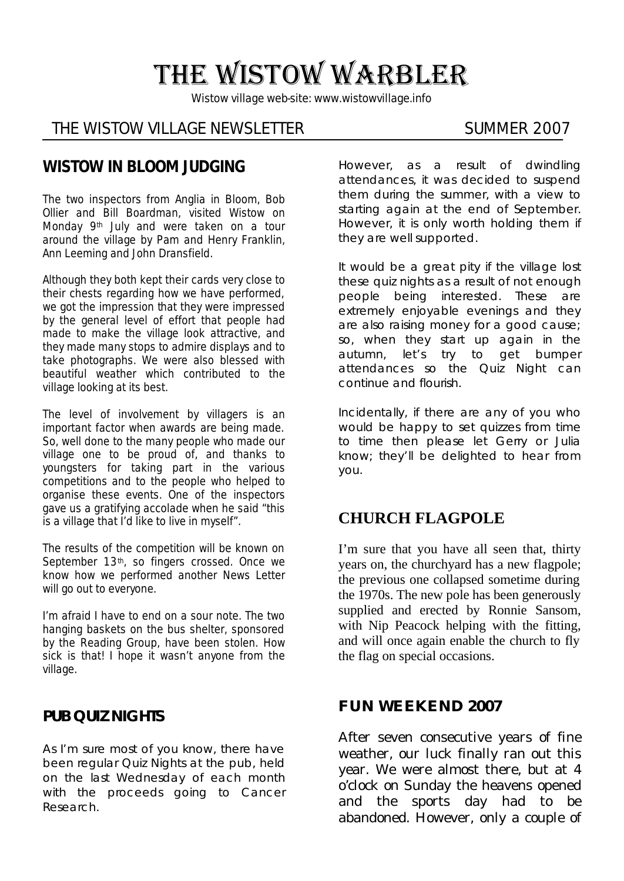# THE WISTOW WARBLER

*Wistow village web-site: www.wistowvillage.info*

#### THE WISTOW VILLAGE NEWSLETTER SUMMER 2007

### **WISTOW IN BLOOM JUDGING**

The two inspectors from Anglia in Bloom, Bob Ollier and Bill Boardman, visited Wistow on Monday 9th July and were taken on a tour around the village by Pam and Henry Franklin, Ann Leeming and John Dransfield.

Although they both kept their cards very close to their chests regarding how we have performed, we got the impression that they were impressed by the general level of effort that people had made to make the village look attractive, and they made many stops to admire displays and to take photographs. We were also blessed with beautiful weather which contributed to the village looking at its best.

The level of involvement by villagers is an important factor when awards are being made. So, well done to the many people who made our village one to be proud of, and thanks to youngsters for taking part in the various competitions and to the people who helped to organise these events. One of the inspectors gave us a gratifying accolade when he said "this is a village that I'd like to live in myself".

The results of the competition will be known on September 13<sup>th</sup>, so fingers crossed. Once we know how we performed another News Letter will go out to everyone.

I'm afraid I have to end on a sour note. The two hanging baskets on the bus shelter, sponsored by the Reading Group, have been stolen. How sick is that! I hope it wasn't anyone from the village.

#### **PUB QUIZ NIGHTS**

As I'm sure most of you know, there have been regular Quiz Nights at the pub, held on the last Wednesday of each month with the proceeds going to Cancer Research.

However, as a result of dwindling attendances, it was decided to suspend them during the summer, with a view to starting again at the end of September. However, it is only worth holding them if they are well supported.

It would be a great pity if the village lost these quiz nights as a result of not enough people being interested. These are extremely enjoyable evenings and they are also raising money for a good cause; so, when they start up again in the autumn, let's try to get bumper attendances so the Quiz Night can continue and flourish.

Incidentally, if there are any of you who would be happy to set quizzes from time to time then please let Gerry or Julia know; they'll be delighted to hear from you.

#### **CHURCH FLAGPOLE**

I'm sure that you have all seen that, thirty years on, the churchyard has a new flagpole; the previous one collapsed sometime during the 1970s. The new pole has been generously supplied and erected by Ronnie Sansom, with Nip Peacock helping with the fitting, and will once again enable the church to fly the flag on special occasions.

#### **FUN WEEKEND 2007**

After seven consecutive years of fine weather, our luck finally ran out this year. We were almost there, but at 4 o'clock on Sunday the heavens opened and the sports day had to be abandoned. However, only a couple of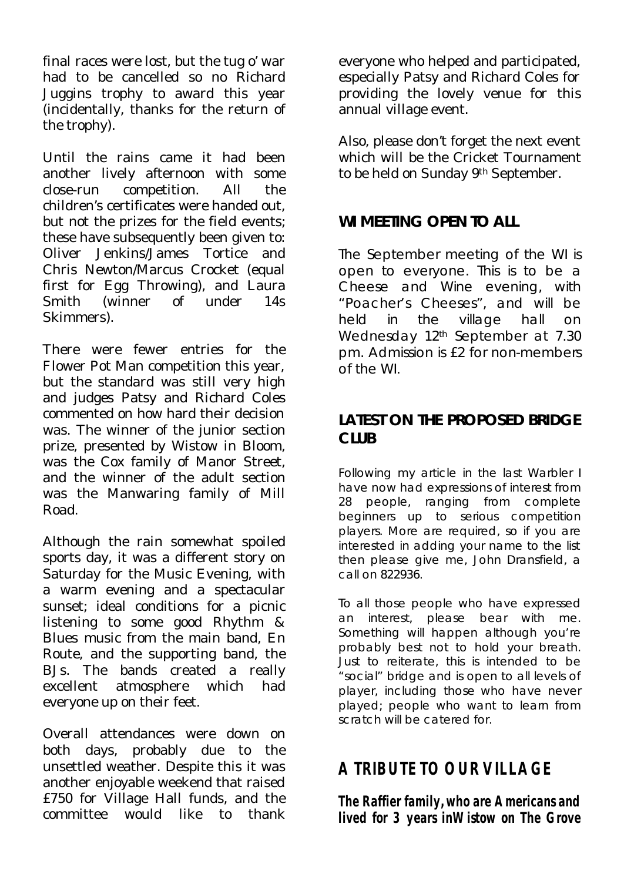final races were lost, but the tug o' war had to be cancelled so no Richard Juggins trophy to award this year (incidentally, thanks for the return of the trophy).

Until the rains came it had been another lively afternoon with some close-run competition. All the children's certificates were handed out, but not the prizes for the field events; these have subsequently been given to: Oliver Jenkins/James Tortice and Chris Newton/Marcus Crocket (equal first for Egg Throwing), and Laura Smith (winner of under 14s Skimmers).

There were fewer entries for the Flower Pot Man competition this year, but the standard was still very high and judges Patsy and Richard Coles commented on how hard their decision was. The winner of the junior section prize, presented by Wistow in Bloom, was the Cox family of Manor Street, and the winner of the adult section was the Manwaring family of Mill Road.

Although the rain somewhat spoiled sports day, it was a different story on Saturday for the Music Evening, with a warm evening and a spectacular sunset; ideal conditions for a picnic listening to some good Rhythm & Blues music from the main band, En Route, and the supporting band, the BJs. The bands created a really excellent atmosphere which had everyone up on their feet.

Overall attendances were down on both days, probably due to the unsettled weather. Despite this it was another enjoyable weekend that raised £750 for Village Hall funds, and the committee would like to thank everyone who helped and participated, especially Patsy and Richard Coles for providing the lovely venue for this annual village event.

Also, please don't forget the next event which will be the Cricket Tournament to be held on Sunday 9th September.

#### **WI MEETING OPEN TO ALL**

The September meeting of the WI is open to everyone. This is to be a Cheese and Wine evening, with "Poacher's Cheeses", and will be held in the village hall on Wednesday 12<sup>th</sup> September at 7.30 pm. Admission is £2 for non-members of the WI.

#### **LATEST ON THE PROPOSED BRIDGE CLUB**

Following my article in the last Warbler I have now had expressions of interest from 28 people, ranging from complete beginners up to serious competition players. More are required, so if you are interested in adding your name to the list then please give me, John Dransfield, a call on 822936.

To all those people who have expressed an interest, please bear with me. Something will happen although you're probably best not to hold your breath. Just to reiterate, this is intended to be "social" bridge and is open to all levels of player, including those who have never played; people who want to learn from scratch will be catered for.

# **A TRIBUTE TO OUR VILLAGE**

**The Raffier family, who are Americans and lived for 3 years inWistow on The Grove**